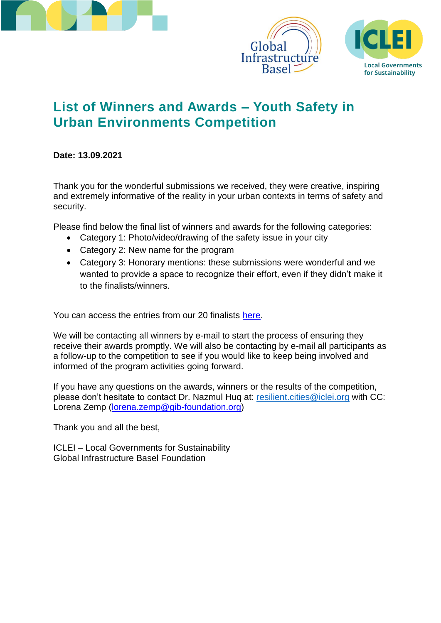





# **List of Winners and Awards – Youth Safety in Urban Environments Competition**

### **Date: 13.09.2021**

Thank you for the wonderful submissions we received, they were creative, inspiring and extremely informative of the reality in your urban contexts in terms of safety and security.

Please find below the final list of winners and awards for the following categories:

- Category 1: Photo/video/drawing of the safety issue in your city
- Category 2: New name for the program
- Category 3: Honorary mentions: these submissions were wonderful and we wanted to provide a space to recognize their effort, even if they didn't make it to the finalists/winners.

You can access the entries from our 20 finalists [here.](https://www.facebook.com/media/set/?vanity=ICLEIworld&set=a.3013171992297717)

We will be contacting all winners by e-mail to start the process of ensuring they receive their awards promptly. We will also be contacting by e-mail all participants as a follow-up to the competition to see if you would like to keep being involved and informed of the program activities going forward.

If you have any questions on the awards, winners or the results of the competition, please don't hesitate to contact Dr. Nazmul Huq at: [resilient.cities@iclei.org](mailto:resilient.cities@iclei.org) with CC: Lorena Zemp [\(lorena.zemp@gib-foundation.org\)](lorena.zemp@gib-foundation.org)

Thank you and all the best,

ICLEI – Local Governments for Sustainability Global Infrastructure Basel Foundation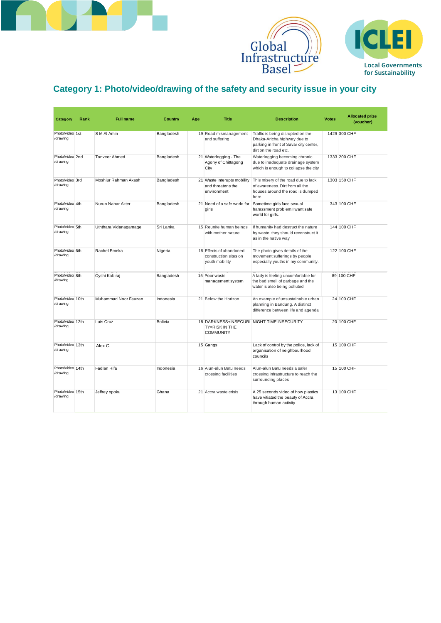





#### Category 1: Photo/video/drawing of the safety and security issue in your city Category 1: Photo/video/drawing of the safety and security issue in your

|                              |      |                       |                |     |                                                                    | <b>GIODAI</b><br>Infrastructure<br>Basel =                                                                                          |              | <b>Local Go</b><br>for Sust         |
|------------------------------|------|-----------------------|----------------|-----|--------------------------------------------------------------------|-------------------------------------------------------------------------------------------------------------------------------------|--------------|-------------------------------------|
|                              |      |                       |                |     |                                                                    | Category 1: Photo/video/drawing of the safety and security issue in your city                                                       |              |                                     |
| <b>Category</b>              | Rank | <b>Full name</b>      | <b>Country</b> | Age | <b>Title</b>                                                       | <b>Description</b>                                                                                                                  | <b>Votes</b> | <b>Allocated prize</b><br>(voucher) |
| Photo/video 1st<br>/drawing  |      | S M Al Amin           | Bangladesh     |     | 19 Road mismanagement<br>and suffering                             | Traffic is being disrupted on the<br>Dhaka-Aricha highway due to<br>parking in front of Savar city center,<br>dirt on the road etc. |              | 1429 300 CHF                        |
| Photo/video 2nd<br>/drawing  |      | Tanveer Ahmed         | Bangladesh     |     | 21 Waterlogging - The<br>Agony of Chittagong<br>City               | Waterlogging becoming chronic<br>due to inadequate drainage system<br>which is enough to collapse the city                          |              | 1333 200 CHF                        |
| Photo/video 3rd<br>/drawing  |      | Moshiur Rahman Akash  | Bangladesh     |     | 21 Waste interupts mobility<br>and threatens the<br>environment    | This misery of the road due to lack<br>of awareness. Dirt from all the<br>houses around the road is dumped<br>here.                 |              | 1303 150 CHF                        |
| Photo/video 4th<br>/drawing  |      | Nurun Nahar Akter     | Bangladesh     |     | 21 Need of a safe world for<br>girls                               | Sometime girls face sexual<br>harassment problem.I want safe<br>world for girls.                                                    |              | 343 100 CHF                         |
| Photo/video 5th<br>/drawing  |      | Uththara Vidanagamage | Sri Lanka      |     | 15 Reunite human beings<br>with mother nature                      | If humanity had destruct the nature<br>by waste, they should reconstruct it<br>as in the native way                                 |              | 144 100 CHF                         |
| Photo/video 6th<br>/drawing  |      | Rachel Emeka          | Nigeria        |     | 18 Effects of abandoned<br>construction sites on<br>youth mobility | The photo gives details of the<br>movement sufferings by people<br>especially youths in my community.                               |              | 122 100 CHF                         |
| Photo/video 8th<br>/drawing  |      | Oyshi Kabiraj         | Bangladesh     |     | 15 Poor waste<br>management system                                 | A lady is feeling uncomfortable for<br>the bad smell of garbage and the<br>water is also being polluted                             |              | 89 100 CHF                          |
| Photo/video 10th<br>/drawing |      | Muhammad Noor Fauzan  | Indonesia      |     | 21 Below the Horizon.                                              | An example of unsustainable urban<br>planning in Bandung. A distinct<br>difference between life and agenda                          |              | 24 100 CHF                          |
| Photo/video 12th<br>/drawing |      | Luis Cruz             | <b>Bolivia</b> |     | TY=RISK IN THE<br><b>COMMUNITY</b>                                 | 18 DARKNESS+INSECURI NIGHT-TIME INSECURITY                                                                                          |              | 20 100 CHF                          |
| Photo/video 13th<br>/drawing |      | Alex C.               |                |     | 15 Gangs                                                           | Lack of control by the police, lack of<br>organisation of neighbourhood<br>councils                                                 |              | 15 100 CHF                          |
| Photo/video 14th<br>/drawing |      | Fadlan Rifa           | Indonesia      |     | 16 Alun-alun Batu needs<br>crossing facilities                     | Alun-alun Batu needs a safer<br>crossing infrastructure to reach the<br>surrounding places                                          |              | 15 100 CHF                          |
| Photo/video 15th<br>/drawing |      | Jeffrey opoku         | Ghana          |     | 21 Accra waste crisis                                              | A 25 seconds video of how plastics<br>have vitiated the beauty of Accra<br>through human activity                                   |              | 13 100 CHF                          |